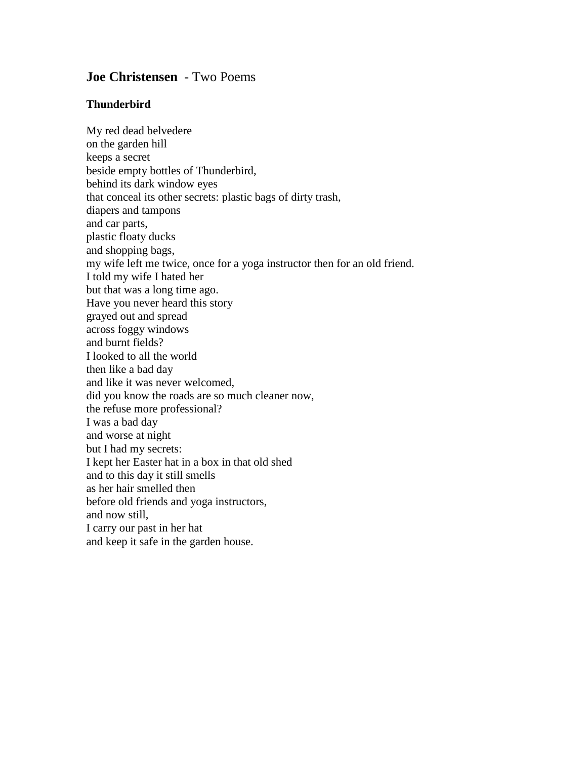## **Joe Christensen** - Two Poems

## **Thunderbird**

My red dead belvedere on the garden hill keeps a secret beside empty bottles of Thunderbird, behind its dark window eyes that conceal its other secrets: plastic bags of dirty trash, diapers and tampons and car parts, plastic floaty ducks and shopping bags, my wife left me twice, once for a yoga instructor then for an old friend. I told my wife I hated her but that was a long time ago. Have you never heard this story grayed out and spread across foggy windows and burnt fields? I looked to all the world then like a bad day and like it was never welcomed, did you know the roads are so much cleaner now, the refuse more professional? I was a bad day and worse at night but I had my secrets: I kept her Easter hat in a box in that old shed and to this day it still smells as her hair smelled then before old friends and yoga instructors, and now still, I carry our past in her hat and keep it safe in the garden house.